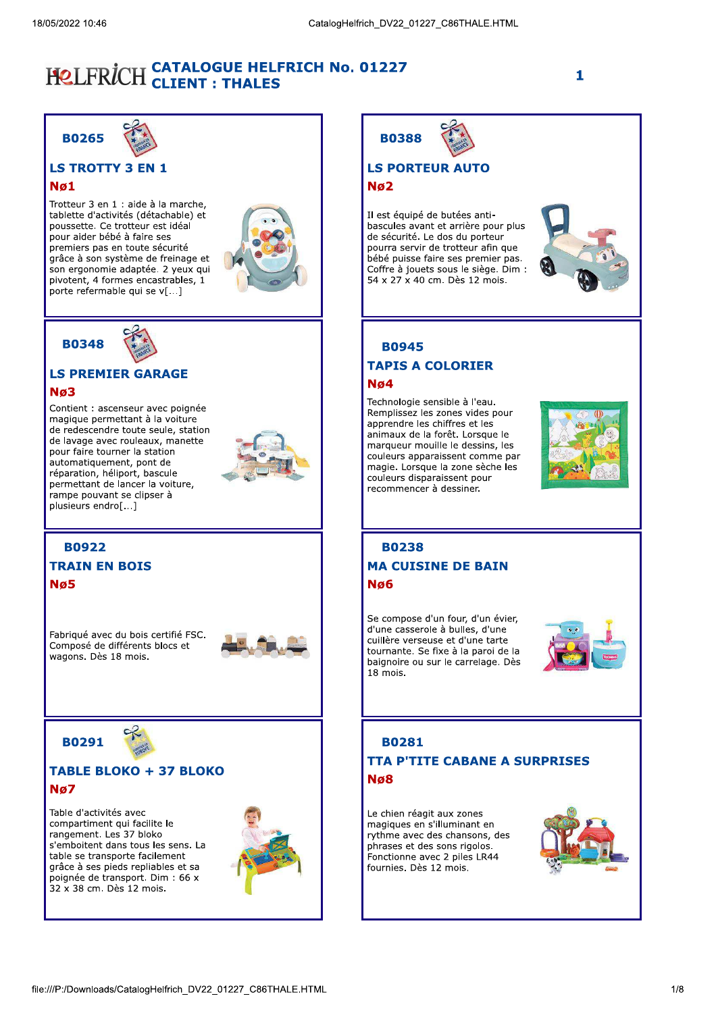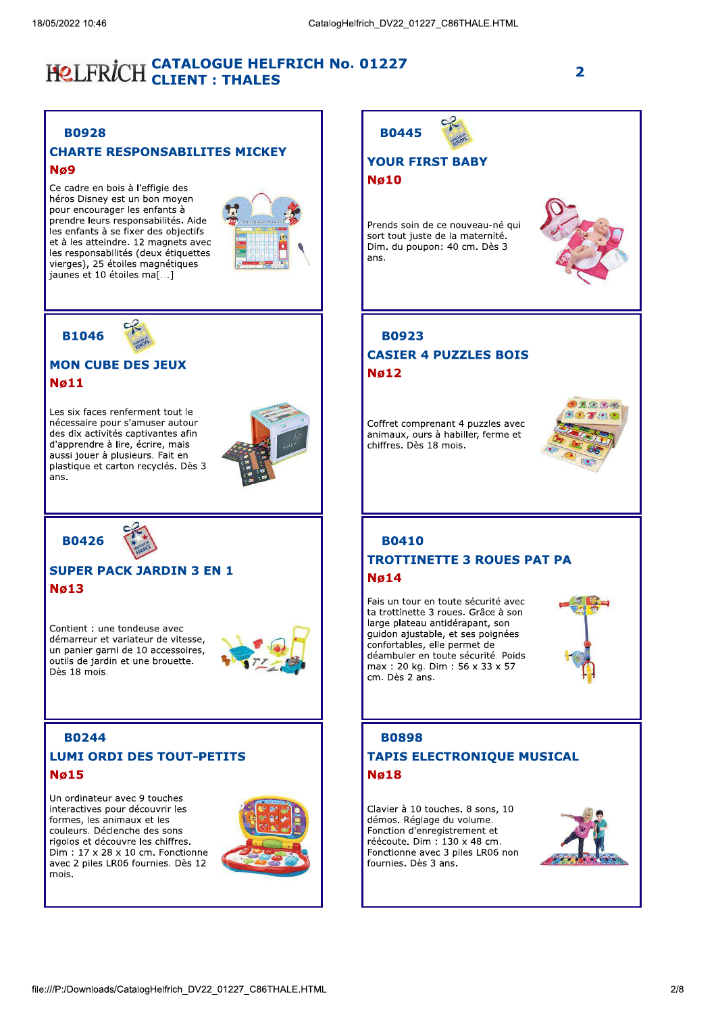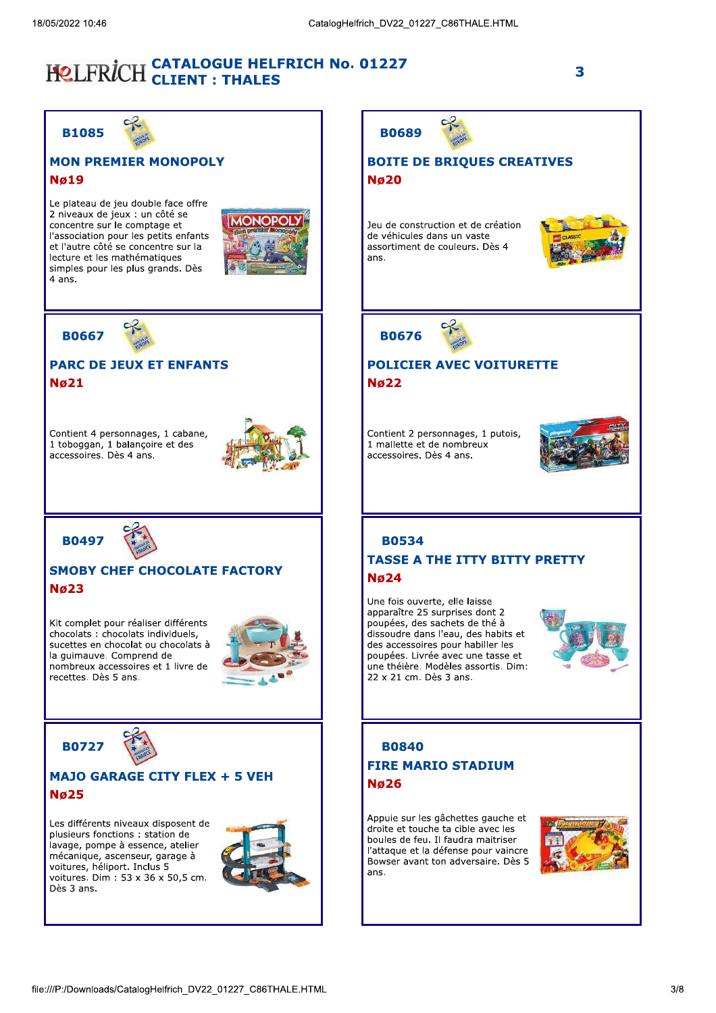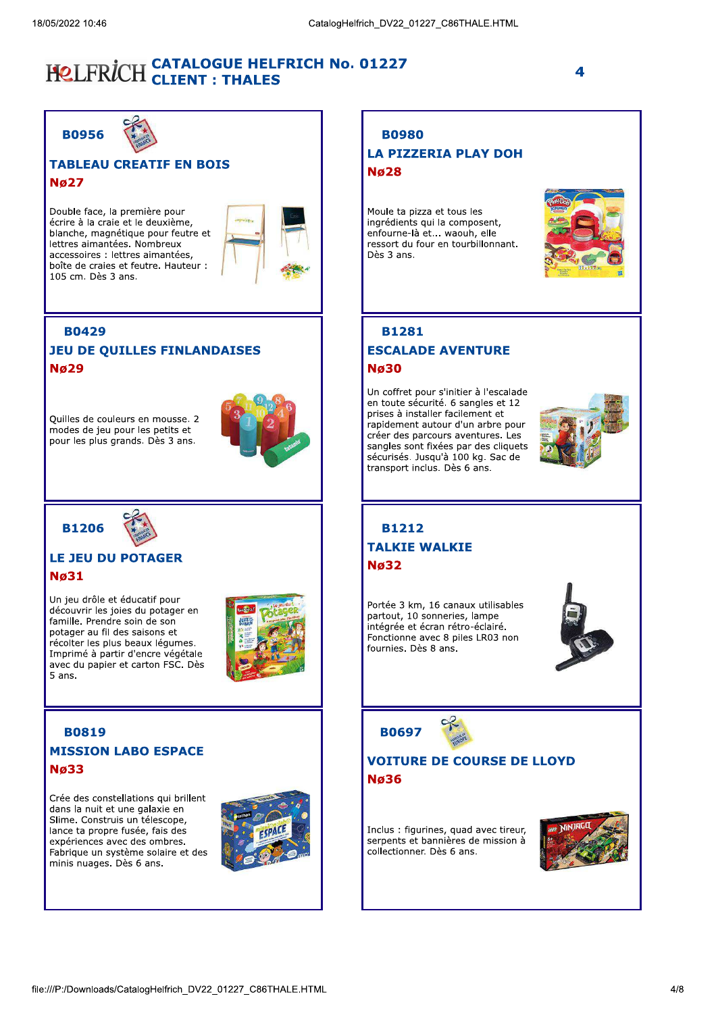4

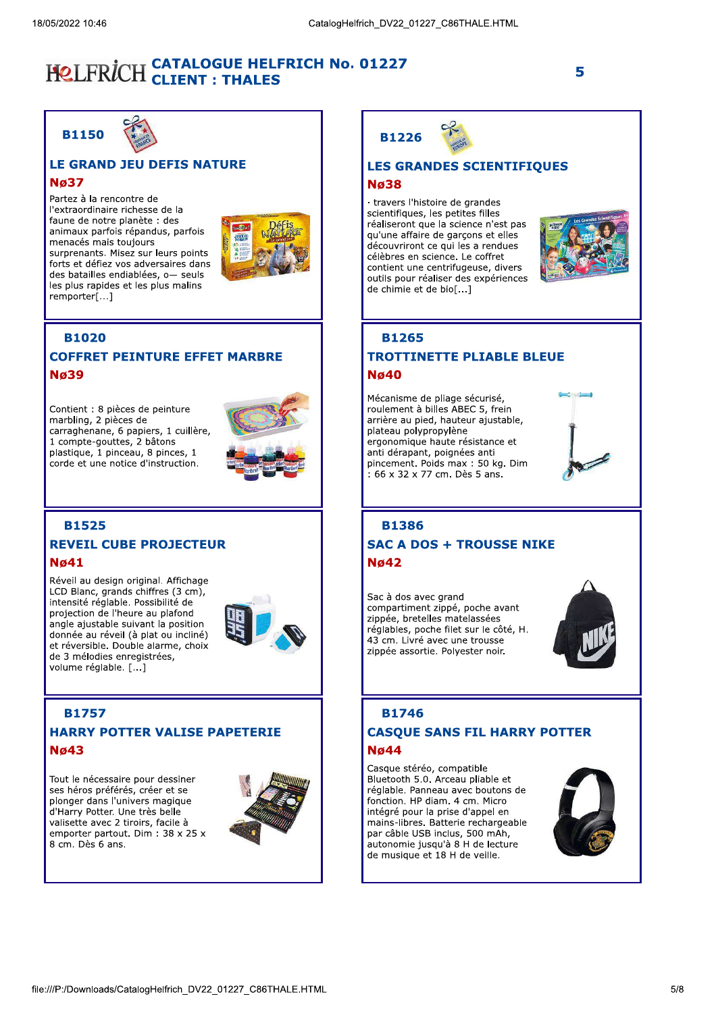

#### **LE GRAND JEU DEFIS NATURE**

#### **N**<sub>6</sub>37

Partez à la rencontre de l'extraordinaire richesse de la faune de notre planète : des animaux parfois répandus, parfois menacés mais toujours surprenants. Misez sur leurs points forts et défiez vos adversaires dans des batailles endiablées, o- seuls les plus rapides et les plus malins remporter[...]



#### **B1020**

#### **COFFRET PEINTURE EFFET MARBRE Nø39**

Contient : 8 pièces de peinture marbling, 2 pièces de carraghenane, 6 papiers, 1 cuillère, 1 compte-gouttes, 2 bâtons plastique, 1 pinceau, 8 pinces, 1 corde et une notice d'instruction.



#### **B1525 REVEIL CUBE PROJECTEUR Nø41**

Réveil au design original. Affichage LCD Blanc, grands chiffres (3 cm), intensité réglable. Possibilité de projection de l'heure au plafond angle ajustable suivant la position donnée au réveil (à plat ou incliné) et réversible. Double alarme, choix de 3 mélodies enregistrées, volume réglable. [...]



#### **B1757 HARRY POTTER VALISE PAPETERIE Nø43**

Tout le nécessaire pour dessiner ses héros préférés, créer et se plonger dans l'univers magique d'Harry Potter. Une très belle valisette avec 2 tiroirs, facile à emporter partout. Dim : 38 x 25 x 8 cm. Dès 6 ans.



 $_{\rm c}$ **B1226** 

#### **LES GRANDES SCIENTIFIQUES Nø38**

· travers l'histoire de grandes scientifiques, les petites filles réaliseront que la science n'est pas qu'une affaire de garçons et elles découvriront ce qui les a rendues célèbres en science. Le coffret contient une centrifugeuse, divers outils pour réaliser des expériences de chimie et de bio[...]



#### **B1265**

#### **TROTTINETTE PLIABLE BLEUE Nø40**

Mécanisme de pliage sécurisé, roulement à billes ABEC 5, frein arrière au pied, hauteur ajustable, plateau polypropylène ergonomique haute résistance et anti dérapant, poignées anti pincement. Poids max: 50 kg. Dim : 66 x 32 x 77 cm. Dès 5 ans.



#### **B1386 SAC A DOS + TROUSSE NIKE**  $Nq42$

Sac à dos avec grand compartiment zippé, poche avant zippée, bretelles matelassées réglables, poche filet sur le côté, H. 43 cm. Livré avec une trousse zippée assortie. Polyester noir.



### **B1746**

#### **CASOUE SANS FIL HARRY POTTER Nø44**

Casque stéréo, compatible Bluetooth 5.0. Arceau pliable et réglable. Panneau avec boutons de fonction. HP diam. 4 cm. Micro intégré pour la prise d'appel en mains-libres. Batterie rechargeable par câble USB inclus, 500 mAh, autonomie jusqu'à 8 H de lecture de musique et 18 H de veille.

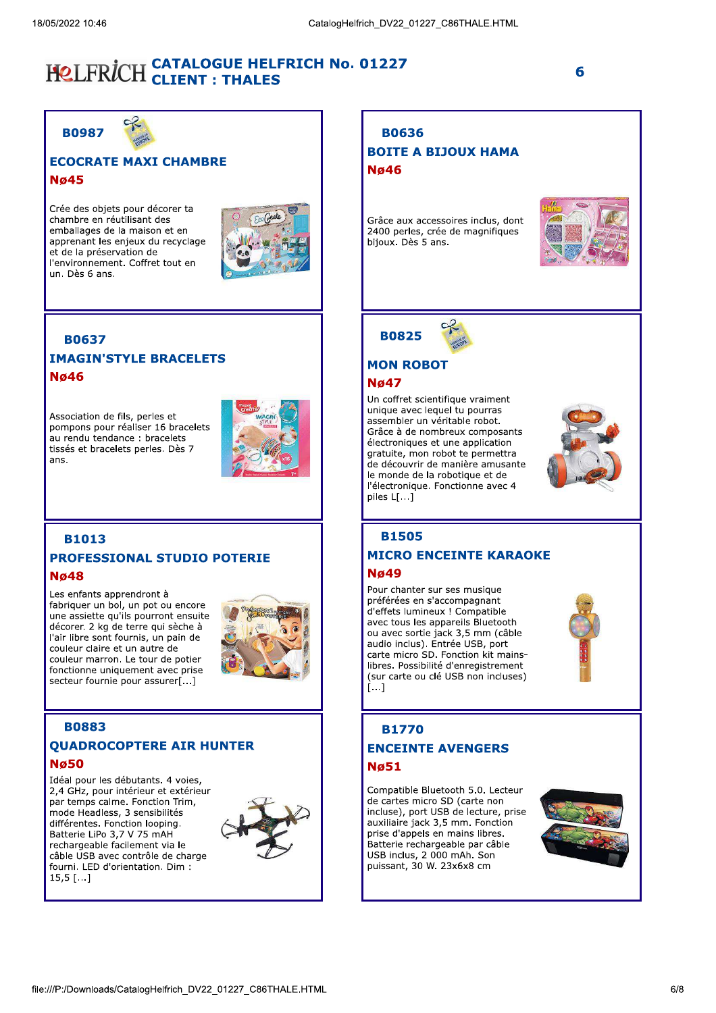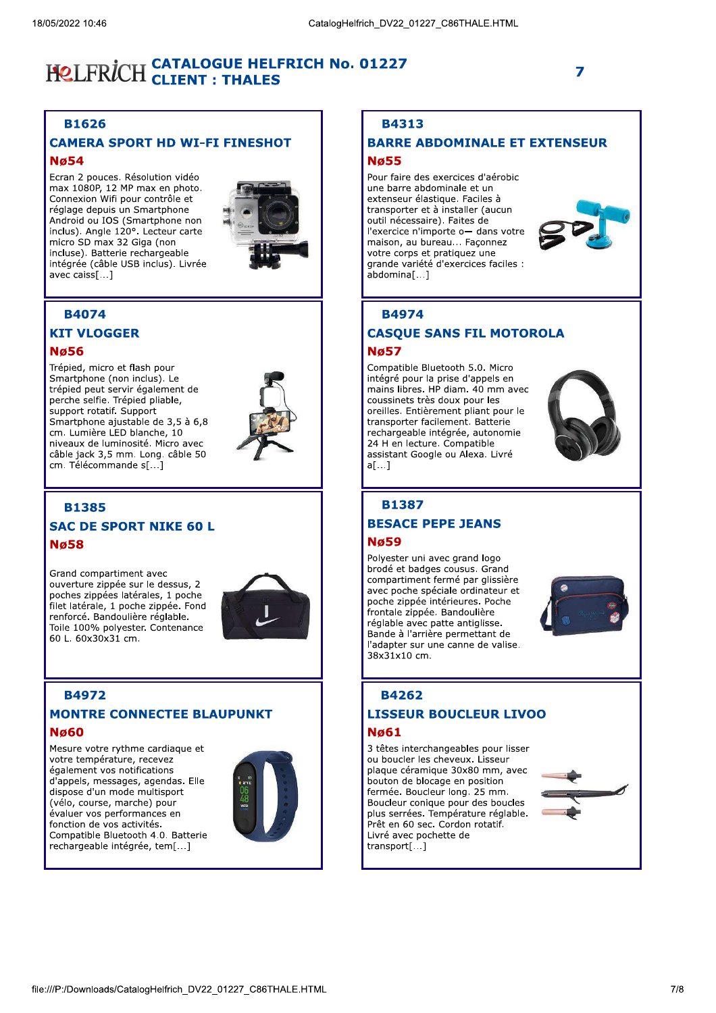#### **B1626**

#### **CAMERA SPORT HD WI-FI FINESHOT Nø54**

Ecran 2 pouces. Résolution vidéo max 1080P, 12 MP max en photo. Connexion Wifi pour contrôle et réglage depuis un Smartphone Android ou IOS (Smartphone non inclus). Angle 120°. Lecteur carte micro SD max 32 Giga (non incluse). Batterie rechargeable intégrée (câble USB inclus). Livrée avec caiss[1]



#### **B4074**

#### **KIT VLOGGER**

#### **N**ø56

Trépied, micro et flash pour Smartphone (non inclus). Le trépied peut servir également de perche selfie. Trépied pliable, support rotatif. Support Smartphone ajustable de 3,5 à 6,8 cm. Lumière LED blanche, 10 niveaux de luminosité. Micro avec câble jack 3,5 mm. Long. câble 50 cm. Télécommande s[...]



#### **B1385**

#### **SAC DE SPORT NIKE 60 L Nø58**

Grand compartiment avec ouverture zippée sur le dessus, 2 poches zippées latérales, 1 poche filet latérale, 1 poche zippée. Fond renforcé. Bandoulière réglable. Toile 100% polyester. Contenance 60 L. 60x30x31 cm.



#### **B4972**

#### **MONTRE CONNECTEE BLAUPUNKT Nø60**

Mesure votre rythme cardiaque et votre température, recevez également vos notifications d'appels, messages, agendas. Elle dispose d'un mode multisport (vélo, course, marche) pour évaluer vos performances en fonction de vos activités. Compatible Bluetooth 4.0. Batterie rechargeable intégrée, tem[...]



#### **B4313**

#### **BARRE ABDOMINALE ET EXTENSEUR**

#### **N**a55

Pour faire des exercices d'aérobic une barre abdominale et un extenseur élastique. Faciles à transporter et à installer (aucun outil nécessaire). Faites de l'exercice n'importe o- dans votre maison, au bureau... Façonnez votre corps et pratiquez une grande variété d'exercices faciles : ahdominal 1



7

#### **B4974**

#### **CASQUE SANS FIL MOTOROLA**

#### **N**ø57

Compatible Bluetooth 5.0. Micro intégré pour la prise d'appels en mains libres. HP diam. 40 mm avec coussinets très doux pour les oreilles. Entièrement pliant pour le transporter facilement. Batterie rechargeable intégrée, autonomie 24 H en lecture. Compatible assistant Google ou Alexa. Livré  $a[...]$ 



### **B1387**

### **BESACE PEPE JEANS**

#### **Nø59**

Polyester uni avec grand logo brodé et badges cousus. Grand compartiment fermé par glissière avec poche spéciale ordinateur et poche zippée intérieures. Poche frontale zippée. Bandoulière réglable avec patte antiglisse. Bande à l'arrière permettant de l'adapter sur une canne de valise. 38x31x10 cm.



#### **B4262**

#### **LISSEUR BOUCLEUR LIVOO Nø61**

3 têtes interchangeables pour lisser ou boucler les cheveux. Lisseur plaque céramique 30x80 mm, avec bouton de blocage en position fermée. Boucleur long. 25 mm. Boucleur conique pour des boucles plus serrées. Température réglable. Prêt en 60 sec. Cordon rotatif. Livré avec pochette de transport[...]